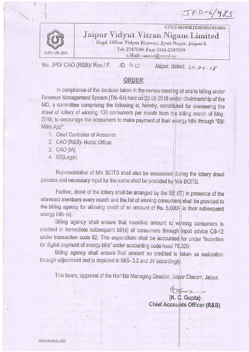$JPD-6/483$ 

CIN:U40109RJ2000SGC016486



Jaipur Vidyut Vitran Nigam Limited Regd. Office: Vidyut Bhawan, Jyoti Nagar, Jaipur-5 Tel; 2747039; Fax: 0141-2747039 e.Mail: caoatr@jvvnl.in .

No. JPD/ CAO (R&B)/ Rev./ F. / D.  $423$ Jaipur, dated: 29.06.18

## ORDER

In compliance of the decision taken in the review meeting of onsite billing under Revenue Management System (TN- 64) held on 23.06.2018 under chairmanship of the MD, a committee comprising the following is, hereby, constituted for overseeing the drawl of lottery of winning 100 consumers per month from the billing month of May, 2018, to encourage the consumers to make payment of their energy bills through "Bijli Mitra App".

- 1. Chief Controller of Accounts
- 2. CAO (R&B)- Nodal Officer
- $3. CAO (IA)$
- 4. SE(Legal)

Representative of M/s BCITS shall also be associated during the lottery drawl process and necessary input for the same shall be provided by M/s BCITS.

Further, drawl of the lottery shall be arranged by the  $SE(IT)$  in presence of the aforesaid members every month and the list of winning consumers shall be provided to the billing agency for allowing credit of an amount of Rs. 5,000/ $_{\rm T}$ in their subsequent energy bills (s).  $\begin{bmatrix} 1 & 1 & 1 \\ 1 & 1 & 1 \\ 1 & 1 & 1 \end{bmatrix}$ 

Billing agency shall ensure that incentive amount to winning consumers is credited in immediate subsequent bill(s) of consumers through input advice CB-12 under transaction code 82. This expenditure shall be accounted for under "Incentive for digital payment of energy bills" under accounting code head 79.320.

Billing agency shall ensure that amount so credited is taken as realization through adjustment and is depicted in MIS- 3.2 and JV accordingly.

This bears, approval of the Hon'ble Managing Director, Jaipur Discom, Jaipur.

(K. Ç. Gupta) Chief Accounts Officer (R&B)